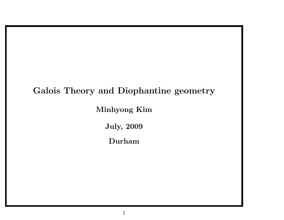# Galois Theory and Diophantine geometry

Minhyong Kim

July, 2009

Durham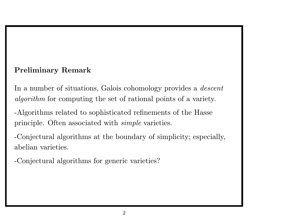### Preliminary Remark

In a number of situations, Galois cohomology provides a *descent* algorithm for computing the set of rational points of <sup>a</sup> variety.

-Algorithms related to sophisticated refinements of the Hasse principle. Often associated with simple varieties.

-Conjectural algorithms at the boundary of simplicity; especially, abelian varieties.

-Conjectural algorithms for generic varieties?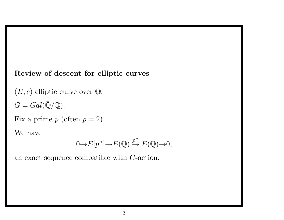#### Review of descent for elliptic curves

 $(E, e)$  elliptic curve over  $\mathbb Q$ .

 $G=Gal(\bar{\mathbb{Q}}/\mathbb{Q}).$ 

Fix a prime  $p$  (often  $p = 2$ ).

We have

$$
0{\rightarrow} E[p^n]{\rightarrow} E(\bar{\mathbb{Q}}) \xrightarrow{p^n} E(\bar{\mathbb{Q}}){\rightarrow} 0,
$$

an exact sequence compatible with G-action.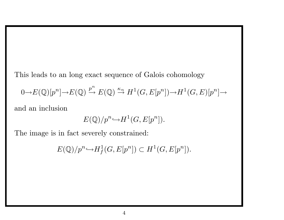This leads to an long exact sequence of Galois cohomology

$$
0 \to E(\mathbb{Q})[p^n] \to E(\mathbb{Q}) \xrightarrow{p^n} E(\mathbb{Q}) \xrightarrow{\kappa_n} H^1(G, E[p^n]) \to H^1(G, E)[p^n] \to
$$

and an inclusion

$$
E(\mathbb{Q})/p^n \hookrightarrow H^1(G, E[p^n]).
$$

The image is in fact severely constrained:

 $E(\mathbb{Q})/p^n \hookrightarrow H_f^1$  $f^1(G,E[p^n]) \subset H^1(G,E[p^n]).$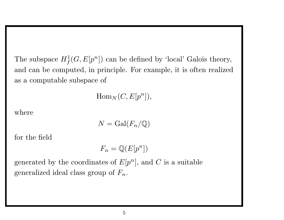The subspace  $H^1_f(G, E[p^n])$  can be defined by 'local' Galois theory, and can be computed, in principle. For example, it is often realized as <sup>a</sup> computable subspace of

 $\text{Hom}_N(C, E[p^n]),$ 

where

$$
N = \operatorname{Gal}(F_n/\mathbb{Q})
$$

for the field

 $F_n = \mathbb{Q}(E[p^n])$ 

generated by the coordinates of  $E[p^n]$ , and C is a suitable generalized ideal class group of  $F_n$ .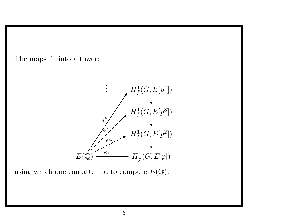The maps fit into <sup>a</sup> tower:



using which one can attempt to compute  $E(\mathbb{Q})$ .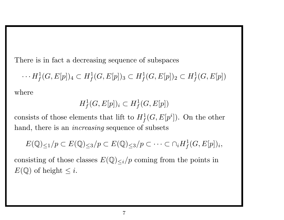There is in fact <sup>a</sup> decreasing sequence of subspaces

$$
\cdots H^1_f(G, E[p])_4 \subset H^1_f(G, E[p])_3 \subset H^1_f(G, E[p])_2 \subset H^1_f(G, E[p])
$$

where

$$
H^1_f(G, E[p])_i \subset H^1_f(G, E[p])
$$

consists of those elements that lift to  $H^1$  $\frac{1}{f}(G, E[p^i])$ . On the other hand, there is an *increasing* sequence of subsets

$$
E(\mathbb{Q})_{\leq 1}/p \subset E(\mathbb{Q})_{\leq 3}/p \subset E(\mathbb{Q})_{\leq 3}/p \subset \cdots \subset \cap_i H^1_f(G, E[p])_i,
$$

consisting of those classes  $E(Q)_{\leq i}/p$  coming from the points in  $E(\mathbb{Q})$  of height  $\leq i$ .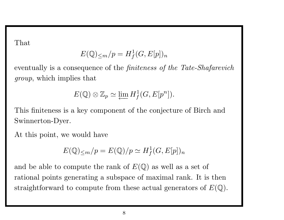That

$$
E(\mathbb{Q})_{\leq m}/p = H_f^1(G, E[p])_n
$$

eventually is a consequence of the *finiteness of the Tate-Shafarevich* group, which implies that

$$
E(\mathbb{Q}) \otimes \mathbb{Z}_p \simeq \varprojlim H^1_f(G, E[p^n]).
$$

This finiteness is <sup>a</sup> key component of the conjecture of Birch and Swinnerton-Dyer.

At this point, we would have

$$
E(\mathbb{Q})_{\leq m}/p = E(\mathbb{Q})/p \simeq H_f^1(G, E[p])_n
$$

and be able to compute the rank of  $E(\mathbb{Q})$  as well as a set of rational points generating <sup>a</sup> subspace of maximal rank. It is then straightforward to compute from these actual generators of  $E(\mathbb{Q})$ .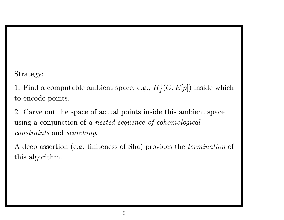Strategy:

1. Find a computable ambient space, e.g.,  $H_f^1$  $f^1_f(G,E[p])$  inside which to encode points.

2. Carve out the space of actual points inside this ambient space using <sup>a</sup> conjunction of <sup>a</sup> nested sequence of cohomological constraints and searching.

A deep assertion (e.g. finiteness of Sha) provides the termination of this algorithm.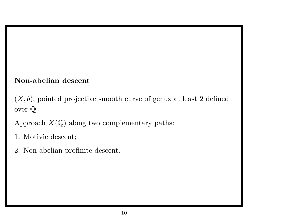### Non-abelian descent

 $(X, b)$ , pointed projective smooth curve of genus at least 2 defined over Q.

Approach  $X(\mathbb{Q})$  along two complementary paths:

- 1. Motivic descent;
- 2. Non-abelian profinite descent.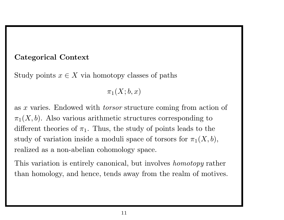#### Categorical Context

Study points  $x \in X$  via homotopy classes of paths

 $\pi_1(X; b, x)$ 

as <sup>x</sup> varies. Endowed with torsor structure coming from action of  $\pi_1(X, b)$ . Also various arithmetic structures corresponding to different theories of  $\pi_1$ . Thus, the study of points leads to the study of variation inside a moduli space of torsors for  $\pi_1(X, b)$ , realized as <sup>a</sup> non-abelian cohomology space.

This variation is entirely canonical, but involves homotopy rather than homology, and hence, tends away from the realm of motives.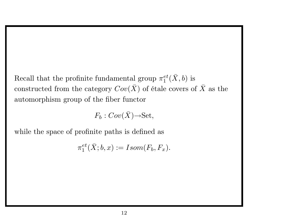Recall that the profinite fundamental group  $\pi_1^{et}(\bar{X},b)$  is constructed from the category  $Cov(\bar{X})$  of étale covers of  $\bar{X}$  as the automorphism group of the fiber functor

$$
F_b:Cov(\bar X){\rightarrow} \mathrm{Set},
$$

while the space of profinite paths is defined as

 $\pi_1^{et}(\bar X; b, x) := Isom(F_b, F_x).$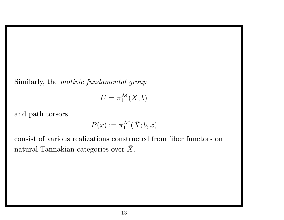Similarly, the motivic fundamental group

$$
U=\pi_1^{\mathcal{M}}(\bar{X},b)
$$

and path torsors

$$
P(x) := \pi_1^{\mathcal{M}}(\bar{X}; b, x)
$$

consist of various realizations constructed from fiber functors on natural Tannakian categories over  $\bar{X}$ .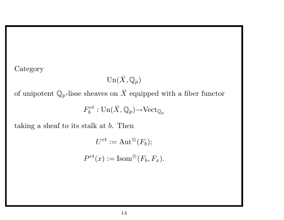**Category** 

$$
\mathrm{Un}(\bar X, \mathbb{Q}_p)
$$

of unipotent  $\mathbb{Q}_p$ -lisse sheaves on  $\bar{X}$  equipped with a fiber functor

$$
F_b^{et}: {\rm Un}(\bar X, {\mathbb Q}_p){\rightarrow}{\rm Vect}_{{\mathbb Q}_p}
$$

taking a sheaf to its stalk at  $b$ . Then

$$
U^{et} := \text{Aut}^{\otimes}(F_b);
$$
  

$$
P^{et}(x) := \text{Isom}^{\otimes}(F_b, F_x).
$$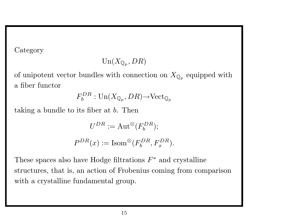Category

$$
\mathrm{Un}(X_{\mathbb{Q}_p}, DR)
$$

of unipotent vector bundles with connection on  $X_{\mathbb{Q}_p}$  equipped with <sup>a</sup> fiber functor

$$
F_b^{DR}: {\rm Un}(X_{\mathbb{Q}_p}, DR){\rightarrow}{\rm Vect}_{\mathbb{Q}_p}
$$

taking <sup>a</sup> bundle to its fiber at b. Then

 $U^{DR} := \text{Aut}^{\otimes} (F_h^{DR});$  $P^{DR}(x) := \text{Isom}^{\otimes} (F_b^{DR}, F_x^{DR}).$ 

These spaces also have Hodge filtrations  $F^*$  and crystalline structures, that is, an action of Frobenius coming from comparison with a crystalline fundamental group.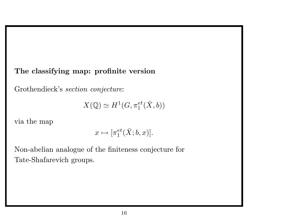#### The classifying map: profinite version

Grothendieck's section conjecture:

$$
X(\mathbb{Q}) \simeq H^1(G, \pi_1^{et}(\bar{X}, b))
$$

via the map

$$
x\mapsto [\pi_1^{et}(\bar X;b,x)].
$$

Non-abelian analogue of the finiteness conjecture for Tate-Shafarevich groups.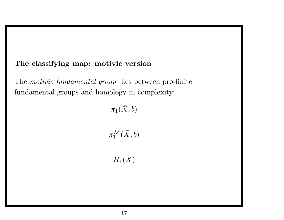### The classifying map: motivic version

The motivic fundamental group lies between pro-finite fundamental groups and homology in complexity:

$$
\begin{matrix} \hat{\pi}_1(\bar{X},b) \\ & | \\ \pi_1^{\mathcal{M}}(\bar{X},b) \\ & | \\ H_1(\bar{X}) \end{matrix}
$$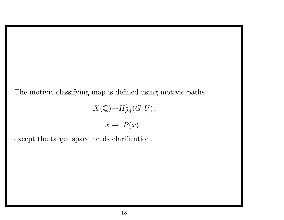The motivic classifying map is defined using motivic paths

$$
X(\mathbb{Q}) {\rightarrow} H^1_{\mathcal{M}}(G,U);
$$

$$
x\mapsto [P(x)],
$$

except the target space needs clarification.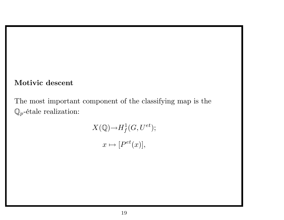#### Motivic descent

The most important component of the classifying map is the  $\mathbb{Q}_p$ -étale realization:

$$
X(\mathbb{Q}) \to H^1_f(G, U^{et});
$$
  

$$
x \mapsto [P^{et}(x)],
$$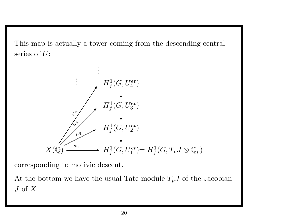This map is actually <sup>a</sup> tower coming from the descending central series of  $U$ :



corresponding to motivic descent.

At the bottom we have the usual Tate module  $T_pJ$  of the Jacobian  $J$  of  $X$ .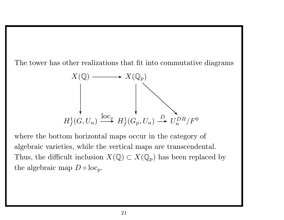The tower has other realizations that fit into commutative diagrams

$$
X(\mathbb{Q}) \longrightarrow X(\mathbb{Q}_p)
$$
\n
$$
\downarrow \qquad \qquad \downarrow
$$
\n
$$
H_f^1(G, U_n) \xrightarrow{\operatorname{loc}_p} H_f^1(G_p, U_n) \xrightarrow{D} U_n^{DR}/F^0
$$

where the bottom horizontal maps occur in the category of algebraic varieties, while the vertical maps are transcendental. Thus, the difficult inclusion  $X(\mathbb{Q}) \subset X(\mathbb{Q}_p)$  has been replaced by the algebraic map  $D \circ \text{loc}_p$ .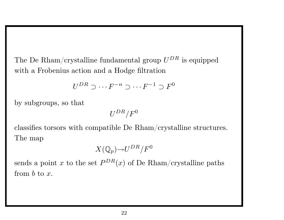The De Rham/crystalline fundamental group  $U^{DR}$  is equipped with <sup>a</sup> Frobenius action and <sup>a</sup> Hodge filtration

$$
U^{DR} \supset \cdots F^{-n} \supset \cdots F^{-1} \supset F^0
$$

by subgroups, so that

$$
U^{DR}/F^0
$$

classifies torsors with compatible De Rham/crystalline structures. The map

$$
X(\mathbb{Q}_p){\rightarrow}U^{DR}/F^0
$$

sends a point x to the set  $P^{DR}(x)$  of De Rham/crystalline paths from  $b$  to  $x$ .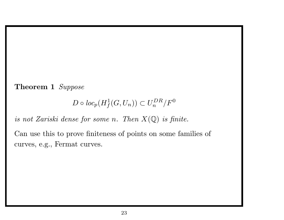Theorem 1 Suppose

 $D \circ loc_p(H_f^1(G, U_n)) \subset U_n^{DR}/F^0$ 

is not Zariski dense for some n. Then  $X(\mathbb{Q})$  is finite.

Can use this to prove finiteness of points on some families of curves, e.g., Fermat curves.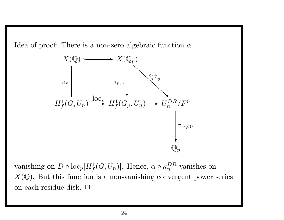Idea of proof: There is a non-zero algebraic function  $\alpha$ 



vanishing on  $D \circ \text{loc}_p [H^1_f]$  $f(G, U_n)$ . Hence,  $\alpha \circ \kappa_n^{DR}$  vanishes on  $X(\mathbb{Q})$ . But this function is a non-vanishing convergent power series on each residue disk. □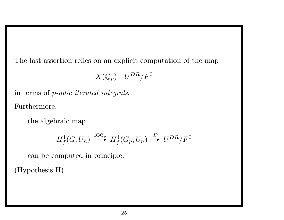The last assertion relies on an explicit computation of the map

$$
X(\mathbb{Q}_p){\rightarrow}U^{DR}/F^0
$$

 $\quad$  in terms of p-adic iterated integrals. Furthermore,

the algebraic map

$$
H_f^1(G, U_n) \xrightarrow{\operatorname{loc}_p} H_f^1(G_p, U_n) \xrightarrow{D} U^{DR}/F^0
$$

can be computed in principle.

(Hypothesis H).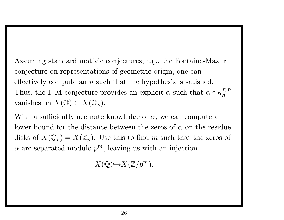Assuming standard motivic conjectures, e.g., the Fontaine-Mazur conjecture on representations of geometric origin, one can effectively compute an  $n$  such that the hypothesis is satisfied. Thus, the F-M conjecture provides an explicit  $\alpha$  such that  $\alpha \circ \kappa_n^{DR}$ vanishes on  $X(\mathbb{Q}) \subset X(\mathbb{Q}_p)$ .

With a sufficiently accurate knowledge of  $\alpha$ , we can compute a lower bound for the distance between the zeros of  $\alpha$  on the residue disks of  $X(\mathbb{Q}_p) = X(\mathbb{Z}_p)$ . Use this to find m such that the zeros of  $\alpha$  are separated modulo  $p^m$ , leaving us with an injection

 $X(\mathbb{Q}){\hookrightarrow}X(\mathbb{Z}/p^m).$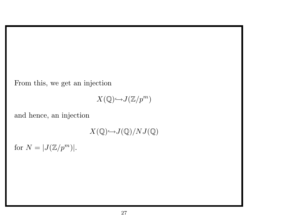From this, we get an injection

$$
X(\mathbb{Q}){\hookrightarrow}J(\mathbb{Z}/p^m)
$$

and hence, an injection

 $X(\mathbb{Q}){\hookrightarrow}J(\mathbb{Q})/NJ(\mathbb{Q})$ 

for  $N = |J(\mathbb{Z}/p^m)|$ .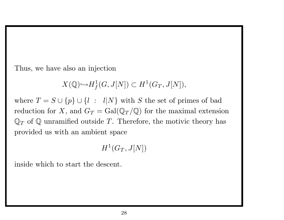Thus, we have also an injection

 $X({\mathbb Q}){\hookrightarrow} H^1_f$  $f^1_1(G, J[N]) \subset H^1(G_T, J[N]),$ 

where  $T = S \cup \{p\} \cup \{l : l|N\}$  with S the set of primes of bad reduction for X, and  $G_T = \text{Gal}(\mathbb{Q}_T/\mathbb{Q})$  for the maximal extension  $\mathbb{Q}_T$  of  $\mathbb Q$  unramified outside T. Therefore, the motivic theory has provided us with an ambient space

$$
H^1(G_T,J[N])
$$

inside which to start the descent.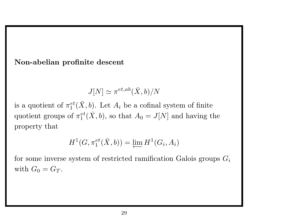Non-abelian profinite descent

$$
J[N] \simeq \pi^{et,ab}(\bar{X},b)/N
$$

is a quotient of  $\pi_1^{et}(\bar{X}, b)$ . Let  $A_i$  be a cofinal system of finite quotient groups of  $\pi_1^{et}(\bar{X}, b)$ , so that  $A_0 = J[N]$  and having the property that

 $H^1(G, \pi_1^{et}(\bar{X},b)) = \varprojlim H^1(G_i, A_i)$ 

for some inverse system of restricted ramification Galois groups  $G_i$ with  $G_0 = G_T$ .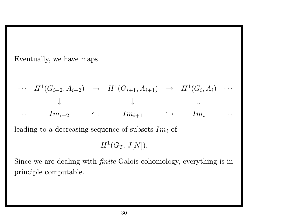Eventually, we have maps

$$
\cdots \quad H^1(G_{i+2}, A_{i+2}) \quad \rightarrow \quad H^1(G_{i+1}, A_{i+1}) \quad \rightarrow \quad H^1(G_i, A_i) \quad \cdots
$$
\n
$$
\downarrow \qquad \qquad \downarrow
$$
\n
$$
\cdots \qquad Im_{i+2} \qquad \rightarrow \qquad Im_{i+1} \qquad \rightarrow \qquad Im_i \qquad \cdots
$$
\nleading to a decreasing sequence of subsets  $Im_i$  of

 $H^1(G_T, J[N])$ .

Since we are dealing with finite Galois cohomology, everything is in principle computable.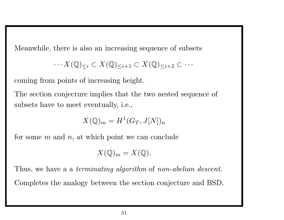Meanwhile, there is also an increasing sequence of subsets

$$
\cdots X(\mathbb{Q})_{\leq i} \subset X(\mathbb{Q})_{\leq i+1} \subset X(\mathbb{Q})_{\leq i+2} \subset \cdots
$$

coming from points of increasing height.

The section conjecture implies that the two nested sequence of subsets have to meet eventually, i.e.,

$$
X(\mathbb{Q})_m = H^1(G_T, J[N])_n
$$

for some  $m$  and  $n$ , at which point we can conclude

$$
X(\mathbb{Q})_m=X(\mathbb{Q}).
$$

Thus, we have a a terminating algorithm of non-abelian descent. Completes the analogy between the section conjecture and BSD.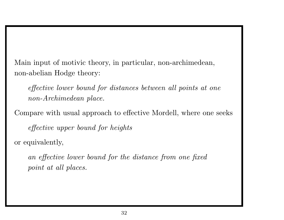Main input of motivic theory, in particular, non-archimedean, non-abelian Hodge theory:

effective lower bound for distances between all points at one non-Archimedean place.

Compare with usual approach to effective Mordell, where one seeks effective upper bound for heights or equivalently,

an effective lower bound for the distance from one fixed point at all places.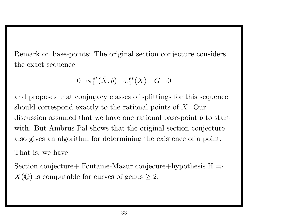Remark on base-points: The original section conjecture considers the exact sequence

$$
0{ \rightarrow } \pi _1^{et} (\bar{X}, b) { \rightarrow } \pi _1^{et} (X) { \rightarrow } G {\rightarrow } 0
$$

and proposes that conjugacy classes of splittings for this sequence should correspond exactly to the rational points of  $X$ . Our discussion assumed that we have one rational base-point  $b$  to start with. But Ambrus Pal shows that the original section conjecture also gives an algorithm for determining the existence of <sup>a</sup> point.

That is, we have

Section conjecture+ Fontaine-Mazur conjecure+hypothesis  $H \Rightarrow$  $X(\mathbb{Q})$  is computable for curves of genus  $\geq 2$ .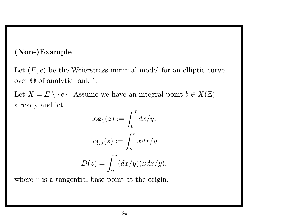### (Non-)Example

Let  $(E, e)$  be the Weierstrass minimal model for an elliptic curve over Q of analytic rank 1.

Let  $X = E \setminus \{e\}$ . Assume we have an integral point  $b \in X(\mathbb{Z})$ already and let

$$
\log_1(z) := \int_v^z dx/y,
$$
  

$$
\log_2(z) := \int_v^z x dx/y
$$
  

$$
D(z) = \int_v^z (dx/y)(xdx/y),
$$

where  $v$  is a tangential base-point at the origin.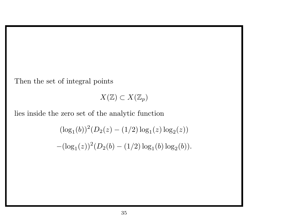Then the set of integral points

 $X(\mathbb{Z}) \subset X(\mathbb{Z}_p)$ 

lies inside the zero set of the analytic function

 $(\log_1(b))^2(D_2(z) - (1/2)\log_1(z)\log_2(z))$  $-(\log_1(z))^2(D_2(b)-(1/2)\log_1(b)\log_2(b)).$